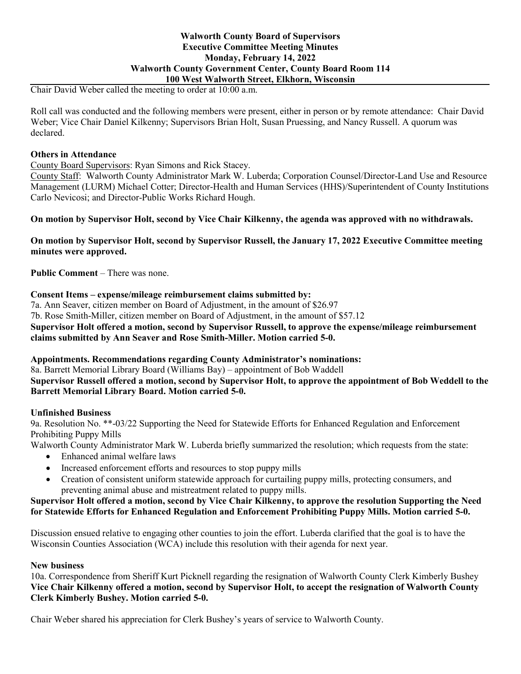### **Walworth County Board of Supervisors Executive Committee Meeting Minutes Monday, February 14, 2022 Walworth County Government Center, County Board Room 114 100 West Walworth Street, Elkhorn, Wisconsin**

Chair David Weber called the meeting to order at 10:00 a.m.

Roll call was conducted and the following members were present, either in person or by remote attendance: Chair David Weber; Vice Chair Daniel Kilkenny; Supervisors Brian Holt, Susan Pruessing, and Nancy Russell. A quorum was declared.

### **Others in Attendance**

County Board Supervisors: Ryan Simons and Rick Stacey.

County Staff: Walworth County Administrator Mark W. Luberda; Corporation Counsel/Director-Land Use and Resource Management (LURM) Michael Cotter; Director-Health and Human Services (HHS)/Superintendent of County Institutions Carlo Nevicosi; and Director-Public Works Richard Hough.

**On motion by Supervisor Holt, second by Vice Chair Kilkenny, the agenda was approved with no withdrawals.**

**On motion by Supervisor Holt, second by Supervisor Russell, the January 17, 2022 Executive Committee meeting minutes were approved.**

**Public Comment** – There was none.

#### **Consent Items – expense/mileage reimbursement claims submitted by:**

7a. Ann Seaver, citizen member on Board of Adjustment, in the amount of \$26.97

7b. Rose Smith-Miller, citizen member on Board of Adjustment, in the amount of \$57.12

### **Supervisor Holt offered a motion, second by Supervisor Russell, to approve the expense/mileage reimbursement claims submitted by Ann Seaver and Rose Smith-Miller. Motion carried 5-0.**

### **Appointments. Recommendations regarding County Administrator's nominations:**

8a. Barrett Memorial Library Board (Williams Bay) – appointment of Bob Waddell

### **Supervisor Russell offered a motion, second by Supervisor Holt, to approve the appointment of Bob Weddell to the Barrett Memorial Library Board. Motion carried 5-0.**

### **Unfinished Business**

9a. Resolution No. \*\*-03/22 Supporting the Need for Statewide Efforts for Enhanced Regulation and Enforcement Prohibiting Puppy Mills

Walworth County Administrator Mark W. Luberda briefly summarized the resolution; which requests from the state:

- Enhanced animal welfare laws
- Increased enforcement efforts and resources to stop puppy mills
- Creation of consistent uniform statewide approach for curtailing puppy mills, protecting consumers, and preventing animal abuse and mistreatment related to puppy mills.

### **Supervisor Holt offered a motion, second by Vice Chair Kilkenny, to approve the resolution Supporting the Need for Statewide Efforts for Enhanced Regulation and Enforcement Prohibiting Puppy Mills. Motion carried 5-0.**

Discussion ensued relative to engaging other counties to join the effort. Luberda clarified that the goal is to have the Wisconsin Counties Association (WCA) include this resolution with their agenda for next year.

### **New business**

10a. Correspondence from Sheriff Kurt Picknell regarding the resignation of Walworth County Clerk Kimberly Bushey **Vice Chair Kilkenny offered a motion, second by Supervisor Holt, to accept the resignation of Walworth County Clerk Kimberly Bushey. Motion carried 5-0.**

Chair Weber shared his appreciation for Clerk Bushey's years of service to Walworth County.